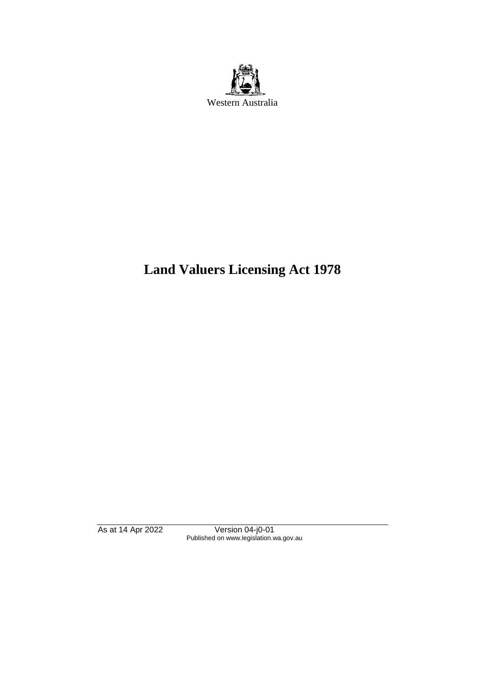

# **Land Valuers Licensing Act 1978**

As at 14 Apr 2022 Version 04-j0-01 Published on www.legislation.wa.gov.au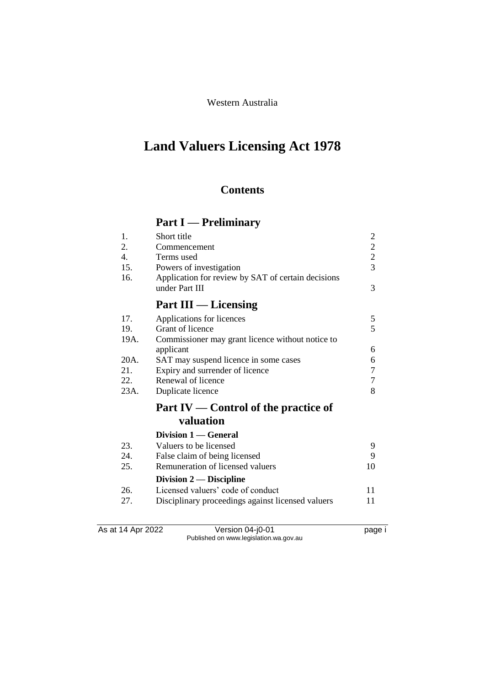Western Australia

# **Land Valuers Licensing Act 1978**

# **Contents**

# **Part I — Preliminary**

| 1.               | Short title                                                          | $\overline{2}$ |
|------------------|----------------------------------------------------------------------|----------------|
| 2.               | Commencement                                                         | $\overline{c}$ |
| $\overline{4}$ . | Terms used                                                           | $\overline{2}$ |
| 15.              | Powers of investigation                                              | 3              |
| 16.              | Application for review by SAT of certain decisions<br>under Part III | 3              |
|                  | <b>Part III</b> — Licensing                                          |                |
| 17.              | Applications for licences                                            | 5              |
| 19.              | Grant of licence                                                     | 5              |
| 19A.             | Commissioner may grant licence without notice to                     |                |
|                  | applicant                                                            | 6              |
| 20A.             | SAT may suspend licence in some cases                                | 6              |
| 21.              | Expiry and surrender of licence                                      | 7              |
| 22.              | Renewal of licence                                                   | 7              |
| 23A.             | Duplicate licence                                                    | 8              |
|                  | Part IV — Control of the practice of                                 |                |
|                  | valuation                                                            |                |
|                  | Division 1 — General                                                 |                |
| 23.              | Valuers to be licensed                                               | 9              |
| 24.              | False claim of being licensed                                        | 9              |
| 25.              | Remuneration of licensed valuers                                     | 10             |
|                  | Division $2$ — Discipline                                            |                |
| 26.              | Licensed valuers' code of conduct                                    | 11             |
| 27.              | Disciplinary proceedings against licensed valuers                    | 11             |

As at 14 Apr 2022 Version 04-j0-01 page i Published on www.legislation.wa.gov.au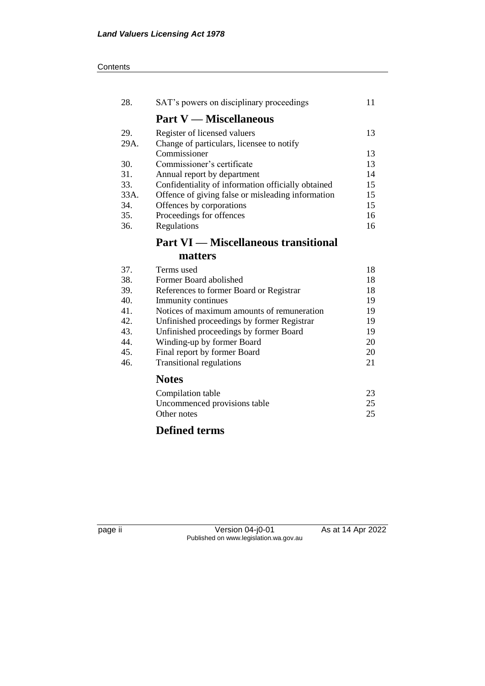| 28.  | SAT's powers on disciplinary proceedings           |    |  |
|------|----------------------------------------------------|----|--|
|      | <b>Part V</b> — Miscellaneous                      |    |  |
| 29.  | Register of licensed valuers                       | 13 |  |
| 29A. | Change of particulars, licensee to notify          |    |  |
|      | Commissioner                                       | 13 |  |
| 30.  | Commissioner's certificate                         | 13 |  |
| 31.  | Annual report by department                        | 14 |  |
| 33.  | Confidentiality of information officially obtained | 15 |  |
| 33A. | Offence of giving false or misleading information  | 15 |  |
| 34.  | Offences by corporations                           | 15 |  |
| 35.  | Proceedings for offences                           | 16 |  |
| 36.  | Regulations                                        | 16 |  |
|      | <b>Part VI — Miscellaneous transitional</b>        |    |  |
|      | matters                                            |    |  |
| 37.  | Terms used                                         | 18 |  |
| 38.  | Former Board abolished                             | 18 |  |
| 39.  | References to former Board or Registrar            | 18 |  |
| 40.  | Immunity continues                                 | 19 |  |
| 41.  | Notices of maximum amounts of remuneration         | 19 |  |

42. Unfinished proceedings by former Registrar 19 43. Unfinished proceedings by former Board 19<br>44. Winding-up by former Board 20 44. Winding-up by former Board 20<br>45. Final report by former Board 20 45. Final report by former Board<br>46. Transitional regulations 21

> Compilation table 23 Uncommenced provisions table 25<br>Other notes 25

# **Defined terms**

**Notes**

Other notes

Transitional regulations

page ii Version 04-j0-01 As at 14 Apr 2022 Published on www.legislation.wa.gov.au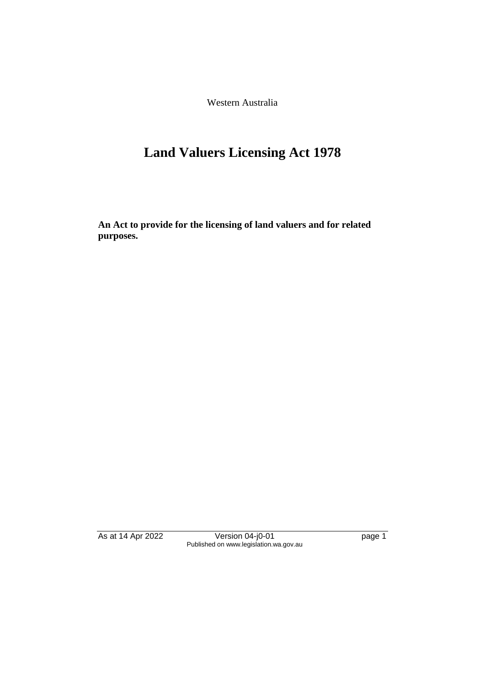Western Australia

# **Land Valuers Licensing Act 1978**

**An Act to provide for the licensing of land valuers and for related purposes.**

As at 14 Apr 2022 Version 04-j0-01 page 1 Published on www.legislation.wa.gov.au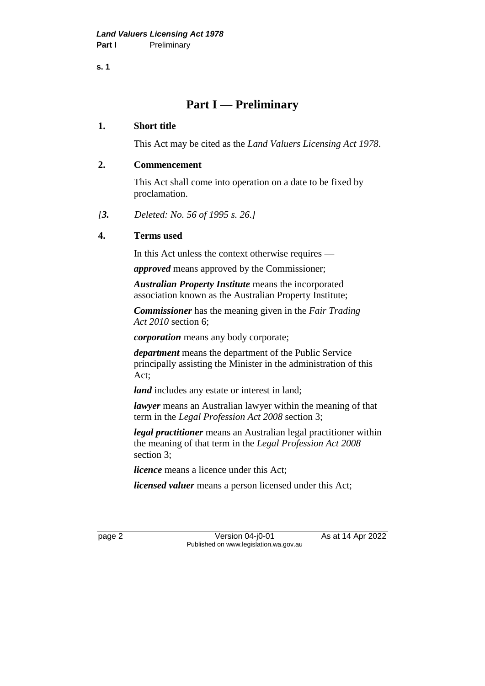**s. 1**

# **Part I — Preliminary**

#### **1. Short title**

This Act may be cited as the *Land Valuers Licensing Act 1978*.

#### **2. Commencement**

This Act shall come into operation on a date to be fixed by proclamation.

*[3. Deleted: No. 56 of 1995 s. 26.]*

#### **4. Terms used**

In this Act unless the context otherwise requires —

*approved* means approved by the Commissioner;

*Australian Property Institute* means the incorporated association known as the Australian Property Institute;

*Commissioner* has the meaning given in the *Fair Trading Act 2010* section 6;

*corporation* means any body corporate;

*department* means the department of the Public Service principally assisting the Minister in the administration of this Act;

*land* includes any estate or interest in land;

*lawyer* means an Australian lawyer within the meaning of that term in the *Legal Profession Act 2008* section 3;

*legal practitioner* means an Australian legal practitioner within the meaning of that term in the *Legal Profession Act 2008* section 3;

*licence* means a licence under this Act;

*licensed valuer* means a person licensed under this Act;

page 2 **Version 04-j0-01** As at 14 Apr 2022 Published on www.legislation.wa.gov.au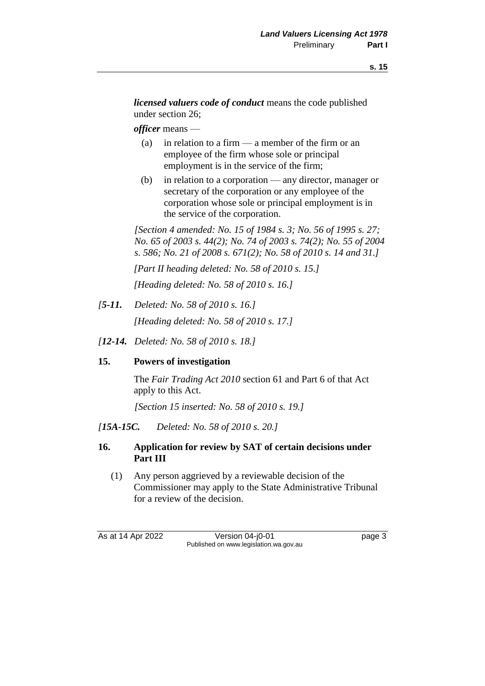*licensed valuers code of conduct* means the code published under section 26;

*officer* means —

- (a) in relation to a firm  $\frac{m}{n}$  a member of the firm or an employee of the firm whose sole or principal employment is in the service of the firm;
- (b) in relation to a corporation any director, manager or secretary of the corporation or any employee of the corporation whose sole or principal employment is in the service of the corporation.

*[Section 4 amended: No. 15 of 1984 s. 3; No. 56 of 1995 s. 27; No. 65 of 2003 s. 44(2); No. 74 of 2003 s. 74(2); No. 55 of 2004 s. 586; No. 21 of 2008 s. 671(2); No. 58 of 2010 s. 14 and 31.]*

*[Part II heading deleted: No. 58 of 2010 s. 15.]*

*[Heading deleted: No. 58 of 2010 s. 16.]*

- *[5-11. Deleted: No. 58 of 2010 s. 16.] [Heading deleted: No. 58 of 2010 s. 17.]*
- *[12-14. Deleted: No. 58 of 2010 s. 18.]*

# **15. Powers of investigation**

The *Fair Trading Act 2010* section 61 and Part 6 of that Act apply to this Act.

*[Section 15 inserted: No. 58 of 2010 s. 19.]*

*[15A-15C. Deleted: No. 58 of 2010 s. 20.]*

### **16. Application for review by SAT of certain decisions under Part III**

(1) Any person aggrieved by a reviewable decision of the Commissioner may apply to the State Administrative Tribunal for a review of the decision.

As at 14 Apr 2022 Version 04-j0-01 page 3 Published on www.legislation.wa.gov.au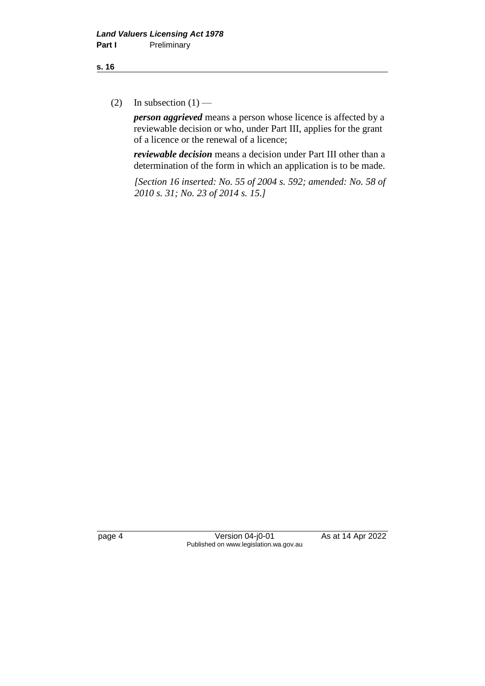(2) In subsection  $(1)$  —

*person aggrieved* means a person whose licence is affected by a reviewable decision or who, under Part III, applies for the grant of a licence or the renewal of a licence;

*reviewable decision* means a decision under Part III other than a determination of the form in which an application is to be made.

*[Section 16 inserted: No. 55 of 2004 s. 592; amended: No. 58 of 2010 s. 31; No. 23 of 2014 s. 15.]*

page 4 Version 04-j0-01 As at 14 Apr 2022 Published on www.legislation.wa.gov.au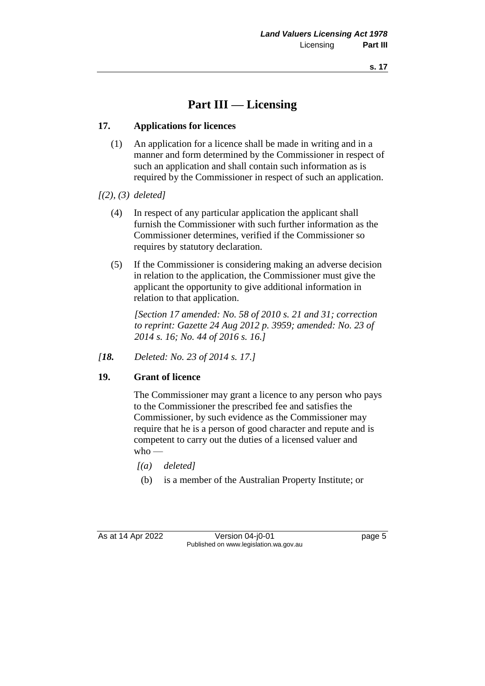# **Part III — Licensing**

### **17. Applications for licences**

(1) An application for a licence shall be made in writing and in a manner and form determined by the Commissioner in respect of such an application and shall contain such information as is required by the Commissioner in respect of such an application.

#### *[(2), (3) deleted]*

- (4) In respect of any particular application the applicant shall furnish the Commissioner with such further information as the Commissioner determines, verified if the Commissioner so requires by statutory declaration.
- (5) If the Commissioner is considering making an adverse decision in relation to the application, the Commissioner must give the applicant the opportunity to give additional information in relation to that application.

*[Section 17 amended: No. 58 of 2010 s. 21 and 31; correction to reprint: Gazette 24 Aug 2012 p. 3959; amended: No. 23 of 2014 s. 16; No. 44 of 2016 s. 16.]*

*[18. Deleted: No. 23 of 2014 s. 17.]*

#### **19. Grant of licence**

The Commissioner may grant a licence to any person who pays to the Commissioner the prescribed fee and satisfies the Commissioner, by such evidence as the Commissioner may require that he is a person of good character and repute and is competent to carry out the duties of a licensed valuer and  $w$ ho —

- *[(a) deleted]*
- (b) is a member of the Australian Property Institute; or

As at 14 Apr 2022 Version 04-j0-01 page 5 Published on www.legislation.wa.gov.au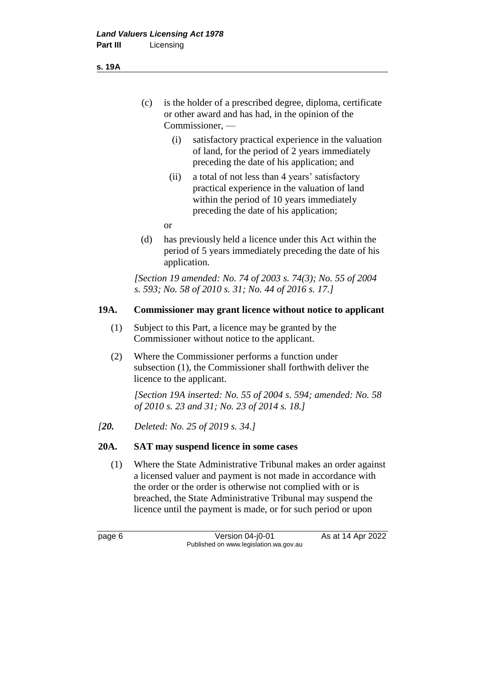- (c) is the holder of a prescribed degree, diploma, certificate or other award and has had, in the opinion of the Commissioner, —
	- (i) satisfactory practical experience in the valuation of land, for the period of 2 years immediately preceding the date of his application; and
	- (ii) a total of not less than 4 years' satisfactory practical experience in the valuation of land within the period of 10 years immediately preceding the date of his application;
	- or
- (d) has previously held a licence under this Act within the period of 5 years immediately preceding the date of his application.

*[Section 19 amended: No. 74 of 2003 s. 74(3); No. 55 of 2004 s. 593; No. 58 of 2010 s. 31; No. 44 of 2016 s. 17.]*

#### **19A. Commissioner may grant licence without notice to applicant**

- (1) Subject to this Part, a licence may be granted by the Commissioner without notice to the applicant.
- (2) Where the Commissioner performs a function under subsection (1), the Commissioner shall forthwith deliver the licence to the applicant.

*[Section 19A inserted: No. 55 of 2004 s. 594; amended: No. 58 of 2010 s. 23 and 31; No. 23 of 2014 s. 18.]*

*[20. Deleted: No. 25 of 2019 s. 34.]*

### **20A. SAT may suspend licence in some cases**

(1) Where the State Administrative Tribunal makes an order against a licensed valuer and payment is not made in accordance with the order or the order is otherwise not complied with or is breached, the State Administrative Tribunal may suspend the licence until the payment is made, or for such period or upon

page 6 **Version 04-j0-01** As at 14 Apr 2022 Published on www.legislation.wa.gov.au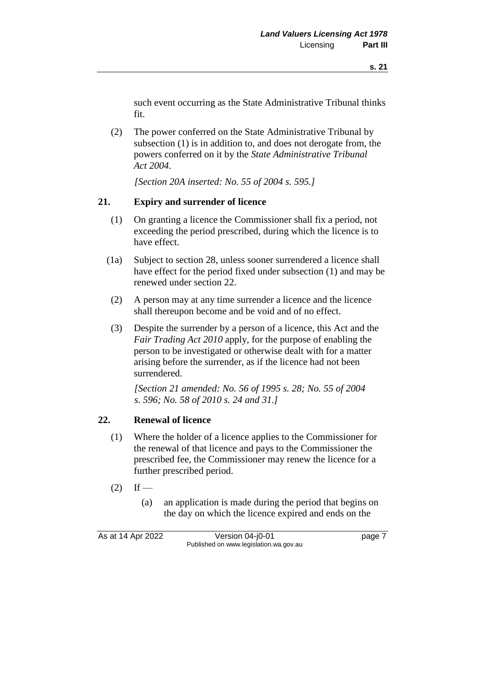such event occurring as the State Administrative Tribunal thinks fit.

(2) The power conferred on the State Administrative Tribunal by subsection (1) is in addition to, and does not derogate from, the powers conferred on it by the *State Administrative Tribunal Act 2004*.

*[Section 20A inserted: No. 55 of 2004 s. 595.]*

## **21. Expiry and surrender of licence**

- (1) On granting a licence the Commissioner shall fix a period, not exceeding the period prescribed, during which the licence is to have effect.
- (1a) Subject to section 28, unless sooner surrendered a licence shall have effect for the period fixed under subsection (1) and may be renewed under section 22.
- (2) A person may at any time surrender a licence and the licence shall thereupon become and be void and of no effect.
- (3) Despite the surrender by a person of a licence, this Act and the *Fair Trading Act 2010* apply, for the purpose of enabling the person to be investigated or otherwise dealt with for a matter arising before the surrender, as if the licence had not been surrendered.

*[Section 21 amended: No. 56 of 1995 s. 28; No. 55 of 2004 s. 596; No. 58 of 2010 s. 24 and 31.]*

# **22. Renewal of licence**

- (1) Where the holder of a licence applies to the Commissioner for the renewal of that licence and pays to the Commissioner the prescribed fee, the Commissioner may renew the licence for a further prescribed period.
- $(2)$  If
	- (a) an application is made during the period that begins on the day on which the licence expired and ends on the

As at 14 Apr 2022 Version 04-j0-01 page 7 Published on www.legislation.wa.gov.au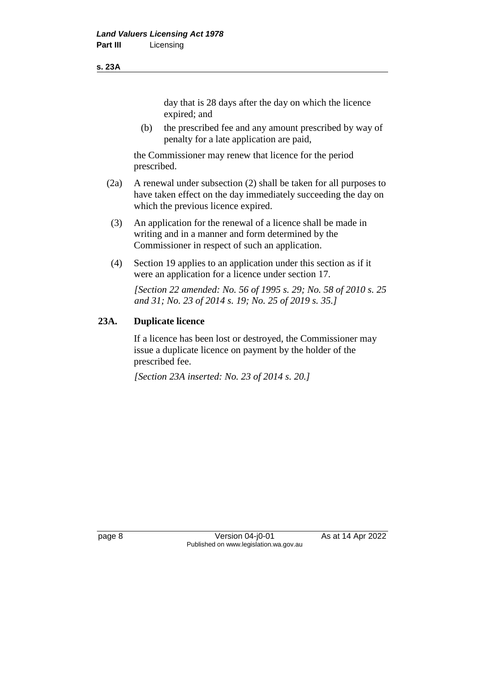#### **s. 23A**

day that is 28 days after the day on which the licence expired; and

(b) the prescribed fee and any amount prescribed by way of penalty for a late application are paid,

the Commissioner may renew that licence for the period prescribed.

- (2a) A renewal under subsection (2) shall be taken for all purposes to have taken effect on the day immediately succeeding the day on which the previous licence expired.
- (3) An application for the renewal of a licence shall be made in writing and in a manner and form determined by the Commissioner in respect of such an application.
- (4) Section 19 applies to an application under this section as if it were an application for a licence under section 17.

*[Section 22 amended: No. 56 of 1995 s. 29; No. 58 of 2010 s. 25 and 31; No. 23 of 2014 s. 19; No. 25 of 2019 s. 35.]*

#### **23A. Duplicate licence**

If a licence has been lost or destroyed, the Commissioner may issue a duplicate licence on payment by the holder of the prescribed fee.

*[Section 23A inserted: No. 23 of 2014 s. 20.]*

page 8 Version 04-j0-01 As at 14 Apr 2022 Published on www.legislation.wa.gov.au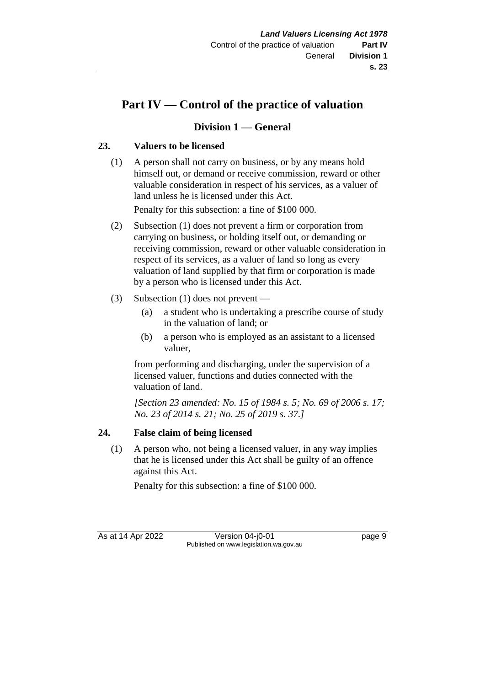# **Part IV — Control of the practice of valuation**

# **Division 1 — General**

# **23. Valuers to be licensed**

(1) A person shall not carry on business, or by any means hold himself out, or demand or receive commission, reward or other valuable consideration in respect of his services, as a valuer of land unless he is licensed under this Act.

Penalty for this subsection: a fine of \$100 000.

- (2) Subsection (1) does not prevent a firm or corporation from carrying on business, or holding itself out, or demanding or receiving commission, reward or other valuable consideration in respect of its services, as a valuer of land so long as every valuation of land supplied by that firm or corporation is made by a person who is licensed under this Act.
- (3) Subsection (1) does not prevent
	- (a) a student who is undertaking a prescribe course of study in the valuation of land; or
	- (b) a person who is employed as an assistant to a licensed valuer,

from performing and discharging, under the supervision of a licensed valuer, functions and duties connected with the valuation of land.

*[Section 23 amended: No. 15 of 1984 s. 5; No. 69 of 2006 s. 17; No. 23 of 2014 s. 21; No. 25 of 2019 s. 37.]*

# **24. False claim of being licensed**

(1) A person who, not being a licensed valuer, in any way implies that he is licensed under this Act shall be guilty of an offence against this Act.

Penalty for this subsection: a fine of \$100 000.

As at 14 Apr 2022 Version 04-j0-01 page 9 Published on www.legislation.wa.gov.au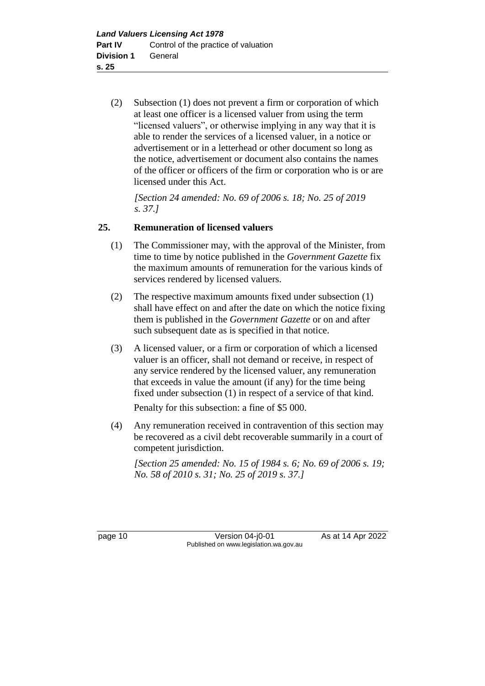(2) Subsection (1) does not prevent a firm or corporation of which at least one officer is a licensed valuer from using the term "licensed valuers", or otherwise implying in any way that it is able to render the services of a licensed valuer, in a notice or advertisement or in a letterhead or other document so long as the notice, advertisement or document also contains the names of the officer or officers of the firm or corporation who is or are licensed under this Act.

*[Section 24 amended: No. 69 of 2006 s. 18; No. 25 of 2019 s. 37.]*

### **25. Remuneration of licensed valuers**

- (1) The Commissioner may, with the approval of the Minister, from time to time by notice published in the *Government Gazette* fix the maximum amounts of remuneration for the various kinds of services rendered by licensed valuers.
- (2) The respective maximum amounts fixed under subsection (1) shall have effect on and after the date on which the notice fixing them is published in the *Government Gazette* or on and after such subsequent date as is specified in that notice.
- (3) A licensed valuer, or a firm or corporation of which a licensed valuer is an officer, shall not demand or receive, in respect of any service rendered by the licensed valuer, any remuneration that exceeds in value the amount (if any) for the time being fixed under subsection (1) in respect of a service of that kind.

Penalty for this subsection: a fine of \$5 000.

(4) Any remuneration received in contravention of this section may be recovered as a civil debt recoverable summarily in a court of competent jurisdiction.

*[Section 25 amended: No. 15 of 1984 s. 6; No. 69 of 2006 s. 19; No. 58 of 2010 s. 31; No. 25 of 2019 s. 37.]*

page 10 **Version 04-j0-01** As at 14 Apr 2022 Published on www.legislation.wa.gov.au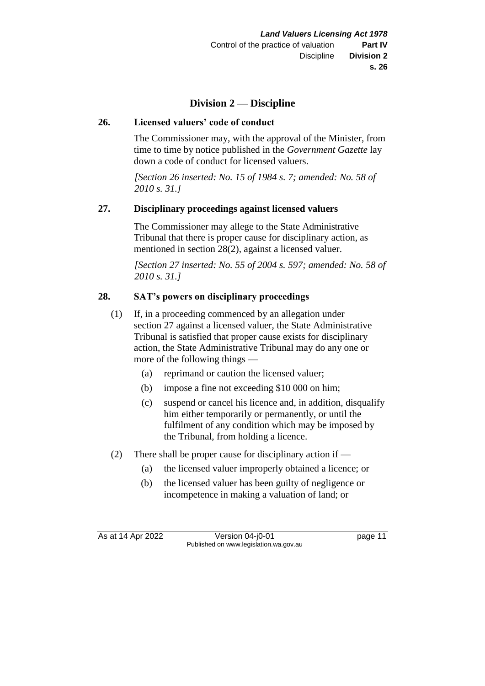# **Division 2 — Discipline**

### **26. Licensed valuers' code of conduct**

The Commissioner may, with the approval of the Minister, from time to time by notice published in the *Government Gazette* lay down a code of conduct for licensed valuers.

*[Section 26 inserted: No. 15 of 1984 s. 7; amended: No. 58 of 2010 s. 31.]*

#### **27. Disciplinary proceedings against licensed valuers**

The Commissioner may allege to the State Administrative Tribunal that there is proper cause for disciplinary action, as mentioned in section 28(2), against a licensed valuer.

*[Section 27 inserted: No. 55 of 2004 s. 597; amended: No. 58 of 2010 s. 31.]*

### **28. SAT's powers on disciplinary proceedings**

- (1) If, in a proceeding commenced by an allegation under section 27 against a licensed valuer, the State Administrative Tribunal is satisfied that proper cause exists for disciplinary action, the State Administrative Tribunal may do any one or more of the following things —
	- (a) reprimand or caution the licensed valuer;
	- (b) impose a fine not exceeding \$10 000 on him;
	- (c) suspend or cancel his licence and, in addition, disqualify him either temporarily or permanently, or until the fulfilment of any condition which may be imposed by the Tribunal, from holding a licence.
- (2) There shall be proper cause for disciplinary action if
	- (a) the licensed valuer improperly obtained a licence; or
	- (b) the licensed valuer has been guilty of negligence or incompetence in making a valuation of land; or

As at 14 Apr 2022 Version 04-j0-01 Page 11 Published on www.legislation.wa.gov.au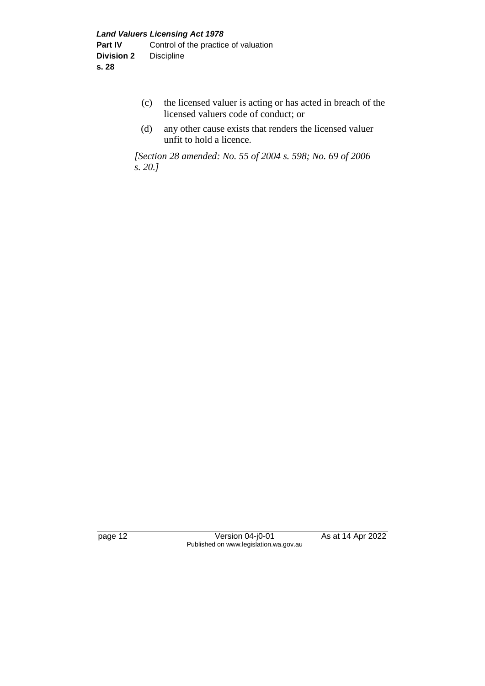- (c) the licensed valuer is acting or has acted in breach of the licensed valuers code of conduct; or
- (d) any other cause exists that renders the licensed valuer unfit to hold a licence.

*[Section 28 amended: No. 55 of 2004 s. 598; No. 69 of 2006 s. 20.]*

page 12 Version 04-j0-01 As at 14 Apr 2022 Published on www.legislation.wa.gov.au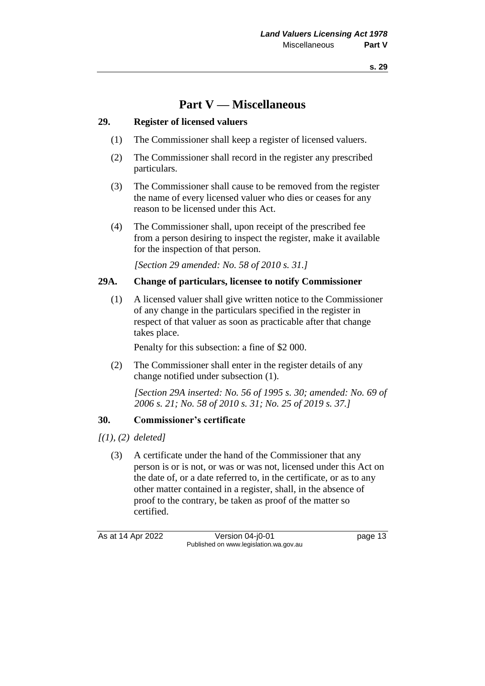# **Part V — Miscellaneous**

#### **29. Register of licensed valuers**

- (1) The Commissioner shall keep a register of licensed valuers.
- (2) The Commissioner shall record in the register any prescribed particulars.
- (3) The Commissioner shall cause to be removed from the register the name of every licensed valuer who dies or ceases for any reason to be licensed under this Act.
- (4) The Commissioner shall, upon receipt of the prescribed fee from a person desiring to inspect the register, make it available for the inspection of that person.

*[Section 29 amended: No. 58 of 2010 s. 31.]*

#### **29A. Change of particulars, licensee to notify Commissioner**

(1) A licensed valuer shall give written notice to the Commissioner of any change in the particulars specified in the register in respect of that valuer as soon as practicable after that change takes place.

Penalty for this subsection: a fine of \$2 000.

(2) The Commissioner shall enter in the register details of any change notified under subsection (1).

*[Section 29A inserted: No. 56 of 1995 s. 30; amended: No. 69 of 2006 s. 21; No. 58 of 2010 s. 31; No. 25 of 2019 s. 37.]*

### **30. Commissioner's certificate**

*[(1), (2) deleted]*

(3) A certificate under the hand of the Commissioner that any person is or is not, or was or was not, licensed under this Act on the date of, or a date referred to, in the certificate, or as to any other matter contained in a register, shall, in the absence of proof to the contrary, be taken as proof of the matter so certified.

As at 14 Apr 2022 Version 04-j0-01 Page 13 Published on www.legislation.wa.gov.au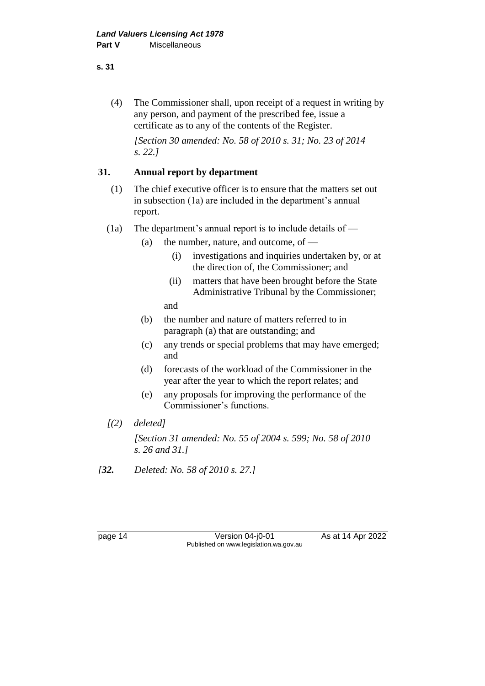#### **s. 31**

(4) The Commissioner shall, upon receipt of a request in writing by any person, and payment of the prescribed fee, issue a certificate as to any of the contents of the Register.

*[Section 30 amended: No. 58 of 2010 s. 31; No. 23 of 2014 s. 22.]*

### **31. Annual report by department**

- (1) The chief executive officer is to ensure that the matters set out in subsection (1a) are included in the department's annual report.
- (1a) The department's annual report is to include details of
	- (a) the number, nature, and outcome, of  $-$ 
		- (i) investigations and inquiries undertaken by, or at the direction of, the Commissioner; and
		- (ii) matters that have been brought before the State Administrative Tribunal by the Commissioner;

and

- (b) the number and nature of matters referred to in paragraph (a) that are outstanding; and
- (c) any trends or special problems that may have emerged; and
- (d) forecasts of the workload of the Commissioner in the year after the year to which the report relates; and
- (e) any proposals for improving the performance of the Commissioner's functions.
- *[(2) deleted]*

*[Section 31 amended: No. 55 of 2004 s. 599; No. 58 of 2010 s. 26 and 31.]*

*[32. Deleted: No. 58 of 2010 s. 27.]*

page 14 Version 04-j0-01 As at 14 Apr 2022 Published on www.legislation.wa.gov.au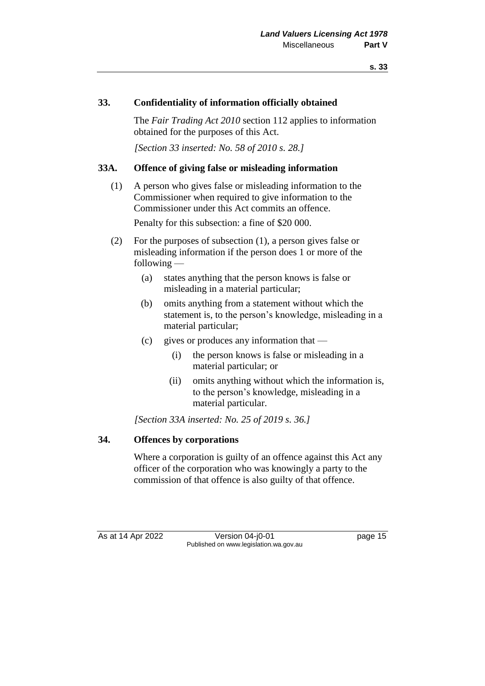#### **33. Confidentiality of information officially obtained**

The *Fair Trading Act 2010* section 112 applies to information obtained for the purposes of this Act.

*[Section 33 inserted: No. 58 of 2010 s. 28.]*

#### **33A. Offence of giving false or misleading information**

- (1) A person who gives false or misleading information to the Commissioner when required to give information to the Commissioner under this Act commits an offence. Penalty for this subsection: a fine of \$20 000.
- (2) For the purposes of subsection (1), a person gives false or misleading information if the person does 1 or more of the following —
	- (a) states anything that the person knows is false or misleading in a material particular;
	- (b) omits anything from a statement without which the statement is, to the person's knowledge, misleading in a material particular;
	- (c) gives or produces any information that
		- (i) the person knows is false or misleading in a material particular; or
		- (ii) omits anything without which the information is, to the person's knowledge, misleading in a material particular.

*[Section 33A inserted: No. 25 of 2019 s. 36.]*

#### **34. Offences by corporations**

Where a corporation is guilty of an offence against this Act any officer of the corporation who was knowingly a party to the commission of that offence is also guilty of that offence.

As at 14 Apr 2022 Version 04-j0-01 page 15 Published on www.legislation.wa.gov.au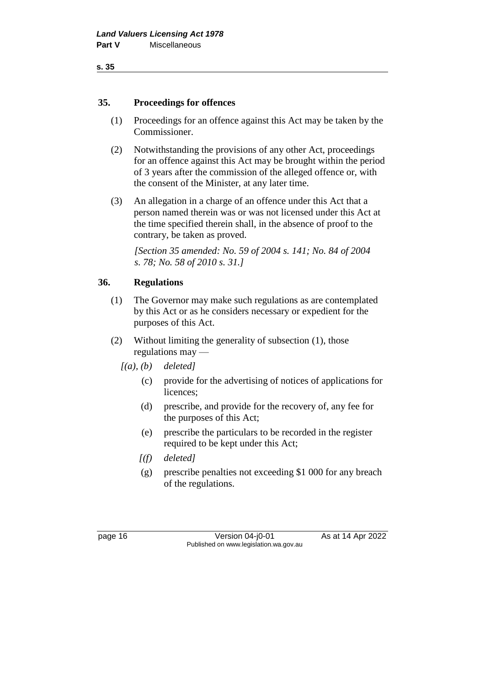#### **35. Proceedings for offences**

- (1) Proceedings for an offence against this Act may be taken by the Commissioner.
- (2) Notwithstanding the provisions of any other Act, proceedings for an offence against this Act may be brought within the period of 3 years after the commission of the alleged offence or, with the consent of the Minister, at any later time.
- (3) An allegation in a charge of an offence under this Act that a person named therein was or was not licensed under this Act at the time specified therein shall, in the absence of proof to the contrary, be taken as proved.

*[Section 35 amended: No. 59 of 2004 s. 141; No. 84 of 2004 s. 78; No. 58 of 2010 s. 31.]*

### **36. Regulations**

- (1) The Governor may make such regulations as are contemplated by this Act or as he considers necessary or expedient for the purposes of this Act.
- (2) Without limiting the generality of subsection (1), those regulations may —
	- *[(a), (b) deleted]*
		- (c) provide for the advertising of notices of applications for licences;
		- (d) prescribe, and provide for the recovery of, any fee for the purposes of this Act;
		- (e) prescribe the particulars to be recorded in the register required to be kept under this Act;
		- *[(f) deleted]*
		- (g) prescribe penalties not exceeding \$1 000 for any breach of the regulations.

page 16 Version 04-j0-01 As at 14 Apr 2022 Published on www.legislation.wa.gov.au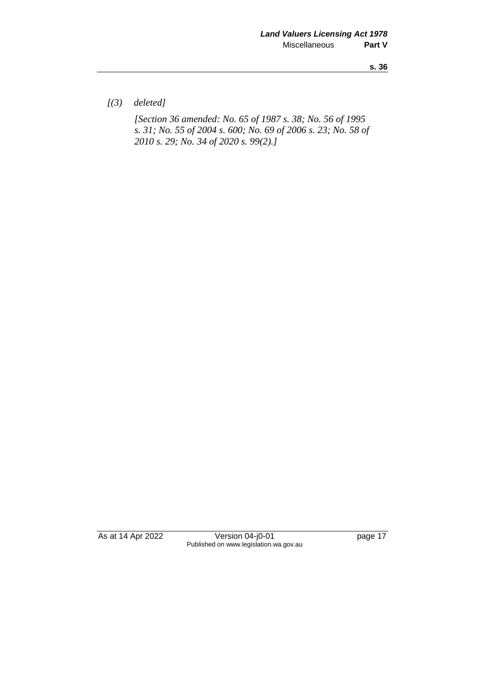**s. 36**

*[(3) deleted]*

*[Section 36 amended: No. 65 of 1987 s. 38; No. 56 of 1995 s. 31; No. 55 of 2004 s. 600; No. 69 of 2006 s. 23; No. 58 of 2010 s. 29; No. 34 of 2020 s. 99(2).]*

As at 14 Apr 2022 Version 04-j0-01 page 17 Published on www.legislation.wa.gov.au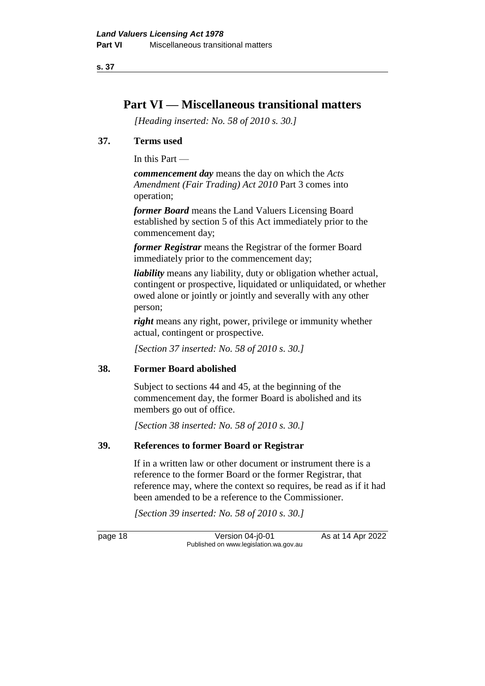**s. 37**

# **Part VI — Miscellaneous transitional matters**

*[Heading inserted: No. 58 of 2010 s. 30.]*

### **37. Terms used**

In this Part —

*commencement day* means the day on which the *Acts Amendment (Fair Trading) Act 2010* Part 3 comes into operation;

*former Board* means the Land Valuers Licensing Board established by section 5 of this Act immediately prior to the commencement day;

*former Registrar* means the Registrar of the former Board immediately prior to the commencement day;

*liability* means any liability, duty or obligation whether actual, contingent or prospective, liquidated or unliquidated, or whether owed alone or jointly or jointly and severally with any other person;

*right* means any right, power, privilege or immunity whether actual, contingent or prospective.

*[Section 37 inserted: No. 58 of 2010 s. 30.]*

### **38. Former Board abolished**

Subject to sections 44 and 45, at the beginning of the commencement day, the former Board is abolished and its members go out of office.

*[Section 38 inserted: No. 58 of 2010 s. 30.]*

### **39. References to former Board or Registrar**

If in a written law or other document or instrument there is a reference to the former Board or the former Registrar, that reference may, where the context so requires, be read as if it had been amended to be a reference to the Commissioner.

*[Section 39 inserted: No. 58 of 2010 s. 30.]*

page 18 **Version 04-j0-01** As at 14 Apr 2022 Published on www.legislation.wa.gov.au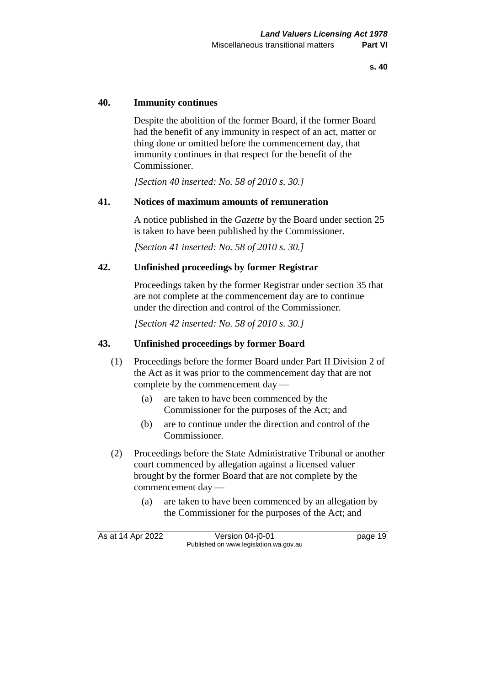#### **40. Immunity continues**

Despite the abolition of the former Board, if the former Board had the benefit of any immunity in respect of an act, matter or thing done or omitted before the commencement day, that immunity continues in that respect for the benefit of the Commissioner.

*[Section 40 inserted: No. 58 of 2010 s. 30.]*

#### **41. Notices of maximum amounts of remuneration**

A notice published in the *Gazette* by the Board under section 25 is taken to have been published by the Commissioner.

*[Section 41 inserted: No. 58 of 2010 s. 30.]*

#### **42. Unfinished proceedings by former Registrar**

Proceedings taken by the former Registrar under section 35 that are not complete at the commencement day are to continue under the direction and control of the Commissioner.

*[Section 42 inserted: No. 58 of 2010 s. 30.]*

#### **43. Unfinished proceedings by former Board**

- (1) Proceedings before the former Board under Part II Division 2 of the Act as it was prior to the commencement day that are not complete by the commencement day —
	- (a) are taken to have been commenced by the Commissioner for the purposes of the Act; and
	- (b) are to continue under the direction and control of the Commissioner.
- (2) Proceedings before the State Administrative Tribunal or another court commenced by allegation against a licensed valuer brought by the former Board that are not complete by the commencement day —
	- (a) are taken to have been commenced by an allegation by the Commissioner for the purposes of the Act; and

| As at 14 Apr 2022 | Version 04-j0-01                       | page 19 |
|-------------------|----------------------------------------|---------|
|                   | Published on www.legislation.wa.gov.au |         |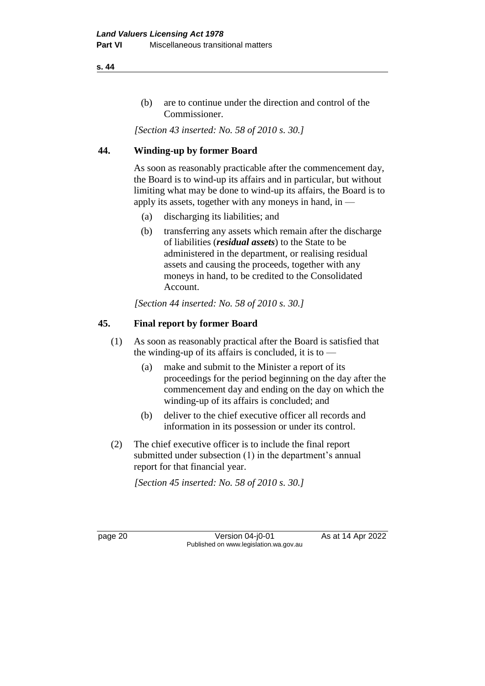### (b) are to continue under the direction and control of the Commissioner.

*[Section 43 inserted: No. 58 of 2010 s. 30.]*

### **44. Winding-up by former Board**

As soon as reasonably practicable after the commencement day, the Board is to wind-up its affairs and in particular, but without limiting what may be done to wind-up its affairs, the Board is to apply its assets, together with any moneys in hand, in —

- (a) discharging its liabilities; and
- (b) transferring any assets which remain after the discharge of liabilities (*residual assets*) to the State to be administered in the department, or realising residual assets and causing the proceeds, together with any moneys in hand, to be credited to the Consolidated Account.

*[Section 44 inserted: No. 58 of 2010 s. 30.]*

### **45. Final report by former Board**

- (1) As soon as reasonably practical after the Board is satisfied that the winding-up of its affairs is concluded, it is to —
	- (a) make and submit to the Minister a report of its proceedings for the period beginning on the day after the commencement day and ending on the day on which the winding-up of its affairs is concluded; and
	- (b) deliver to the chief executive officer all records and information in its possession or under its control.
- (2) The chief executive officer is to include the final report submitted under subsection (1) in the department's annual report for that financial year.

*[Section 45 inserted: No. 58 of 2010 s. 30.]*

page 20 **Version 04-j0-01** As at 14 Apr 2022 Published on www.legislation.wa.gov.au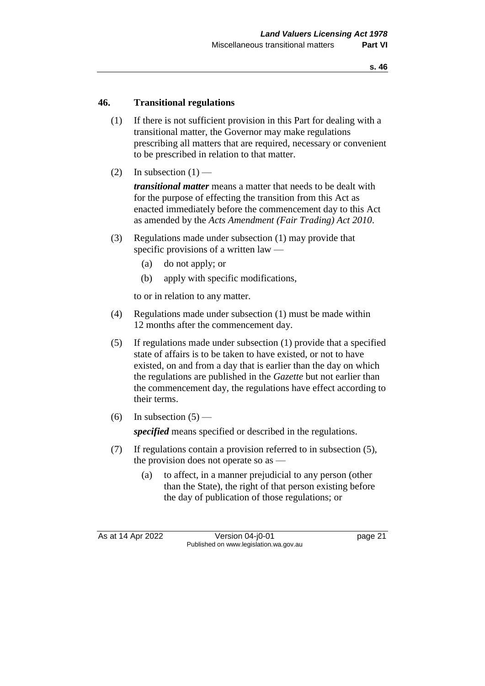#### **46. Transitional regulations**

- (1) If there is not sufficient provision in this Part for dealing with a transitional matter, the Governor may make regulations prescribing all matters that are required, necessary or convenient to be prescribed in relation to that matter.
- (2) In subsection  $(1)$  —

*transitional matter* means a matter that needs to be dealt with for the purpose of effecting the transition from this Act as enacted immediately before the commencement day to this Act as amended by the *Acts Amendment (Fair Trading) Act 2010*.

- (3) Regulations made under subsection (1) may provide that specific provisions of a written law —
	- (a) do not apply; or
	- (b) apply with specific modifications,

to or in relation to any matter.

- (4) Regulations made under subsection (1) must be made within 12 months after the commencement day.
- (5) If regulations made under subsection (1) provide that a specified state of affairs is to be taken to have existed, or not to have existed, on and from a day that is earlier than the day on which the regulations are published in the *Gazette* but not earlier than the commencement day, the regulations have effect according to their terms.
- (6) In subsection  $(5)$  —

*specified* means specified or described in the regulations.

- (7) If regulations contain a provision referred to in subsection (5), the provision does not operate so as —
	- (a) to affect, in a manner prejudicial to any person (other than the State), the right of that person existing before the day of publication of those regulations; or

As at 14 Apr 2022 Version 04-j0-01 Page 21 Published on www.legislation.wa.gov.au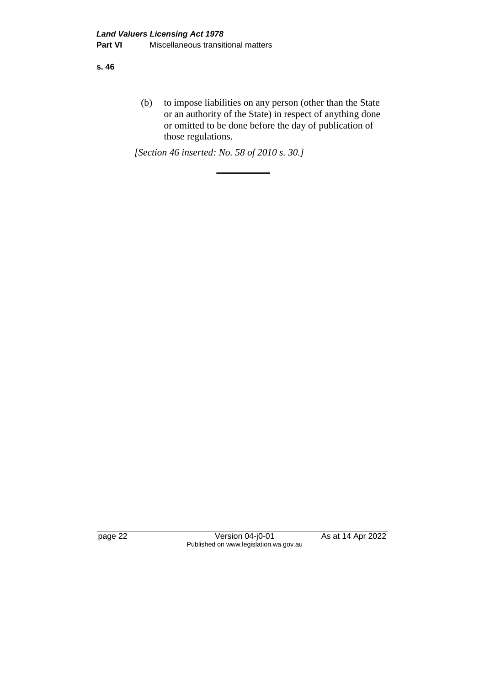**s. 46**

(b) to impose liabilities on any person (other than the State or an authority of the State) in respect of anything done or omitted to be done before the day of publication of those regulations.

*[Section 46 inserted: No. 58 of 2010 s. 30.]*

page 22 Version 04-j0-01 As at 14 Apr 2022 Published on www.legislation.wa.gov.au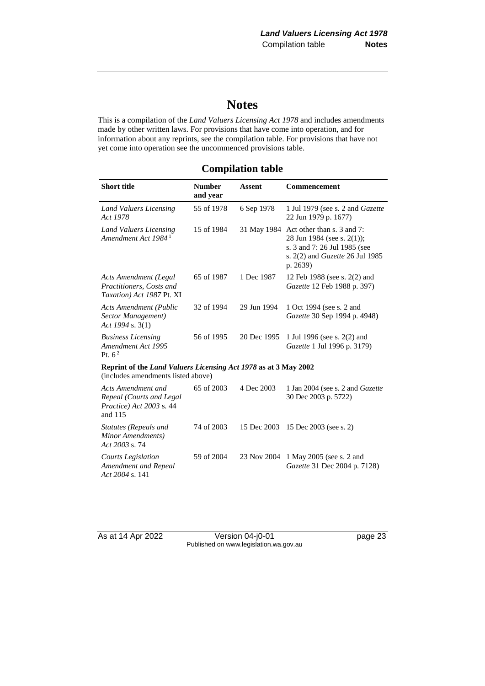# **Notes**

This is a compilation of the *Land Valuers Licensing Act 1978* and includes amendments made by other written laws. For provisions that have come into operation, and for information about any reprints, see the compilation table. For provisions that have not yet come into operation see the uncommenced provisions table.

## **Compilation table**

| <b>Short title</b>                                                                                    | <b>Number</b><br>and year | <b>Assent</b> | Commencement                                                                                                                            |  |
|-------------------------------------------------------------------------------------------------------|---------------------------|---------------|-----------------------------------------------------------------------------------------------------------------------------------------|--|
| Land Valuers Licensing<br>Act 1978                                                                    | 55 of 1978                | 6 Sep 1978    | 1 Jul 1979 (see s. 2 and <i>Gazette</i><br>22 Jun 1979 p. 1677)                                                                         |  |
| Land Valuers Licensing<br>Amendment Act 1984 <sup>1</sup>                                             | 15 of 1984                | 31 May 1984   | Act other than s. 3 and 7:<br>28 Jun 1984 (see s. 2(1));<br>s. 3 and 7: 26 Jul 1985 (see<br>s. 2(2) and Gazette 26 Jul 1985<br>p. 2639) |  |
| <b>Acts Amendment (Legal</b><br>Practitioners, Costs and<br>Taxation) Act 1987 Pt. XI                 | 65 of 1987                | 1 Dec 1987    | 12 Feb 1988 (see s. 2(2) and<br>Gazette 12 Feb 1988 p. 397)                                                                             |  |
| <b>Acts Amendment (Public</b><br>Sector Management)<br>Act 1994 s. $3(1)$                             | 32 of 1994                | 29 Jun 1994   | 1 Oct 1994 (see s. 2 and<br>Gazette 30 Sep 1994 p. 4948)                                                                                |  |
| <b>Business Licensing</b><br>Amendment Act 1995<br>Pt. $62$                                           | 56 of 1995                | 20 Dec 1995   | 1 Jul 1996 (see s. 2(2) and<br>Gazette 1 Jul 1996 p. 3179)                                                                              |  |
| Reprint of the Land Valuers Licensing Act 1978 as at 3 May 2002<br>(includes amendments listed above) |                           |               |                                                                                                                                         |  |
| Acts Amendment and<br>Repeal (Courts and Legal<br>Practice) Act 2003 s. 44<br>and 115                 | 65 of 2003                | 4 Dec 2003    | 1 Jan 2004 (see s. 2 and Gazette<br>30 Dec 2003 p. 5722)                                                                                |  |
| <b>Statutes (Repeals and</b><br>Minor Amendments)<br>Act 2003 s. 74                                   | 74 of 2003                | 15 Dec 2003   | 15 Dec 2003 (see s. 2)                                                                                                                  |  |
| <b>Courts Legislation</b><br>Amendment and Repeal<br>Act 2004 s. 141                                  | 59 of 2004                | 23 Nov 2004   | 1 May 2005 (see s. 2 and<br>Gazette 31 Dec 2004 p. 7128)                                                                                |  |

As at 14 Apr 2022 Version 04-j0-01 page 23 Published on www.legislation.wa.gov.au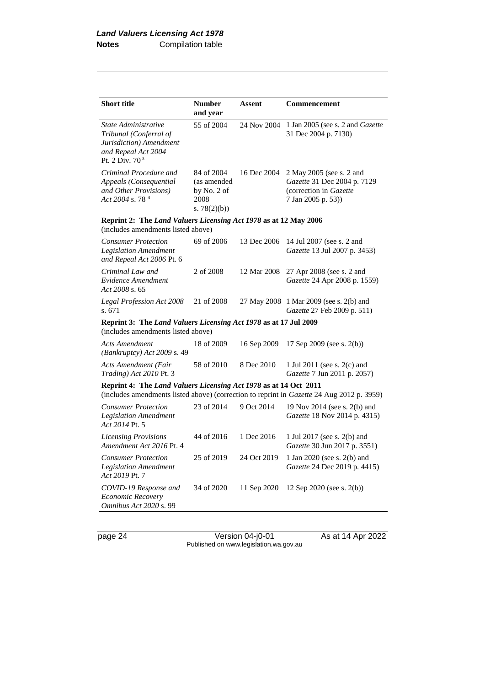| <b>Short title</b>                                                                                                             | <b>Number</b><br>and year                                                                              | <b>Assent</b> | <b>Commencement</b>                                                                                     |  |  |
|--------------------------------------------------------------------------------------------------------------------------------|--------------------------------------------------------------------------------------------------------|---------------|---------------------------------------------------------------------------------------------------------|--|--|
| State Administrative<br>Tribunal (Conferral of<br>Jurisdiction) Amendment<br>and Repeal Act 2004<br>Pt. 2 Div. 70 <sup>3</sup> | 55 of 2004                                                                                             | 24 Nov 2004   | 1 Jan 2005 (see s. 2 and <i>Gazette</i><br>31 Dec 2004 p. 7130)                                         |  |  |
| Criminal Procedure and<br>Appeals (Consequential<br>and Other Provisions)<br>Act 2004 s. 78 <sup>4</sup>                       | 84 of 2004<br>(as amended<br>by No. $2$ of<br>2008<br>s. $78(2)(b)$                                    | 16 Dec 2004   | 2 May 2005 (see s. 2 and<br>Gazette 31 Dec 2004 p. 7129<br>(correction in Gazette<br>7 Jan 2005 p. 53)) |  |  |
|                                                                                                                                | Reprint 2: The Land Valuers Licensing Act 1978 as at 12 May 2006<br>(includes amendments listed above) |               |                                                                                                         |  |  |
| <b>Consumer Protection</b><br><b>Legislation Amendment</b><br>and Repeal Act 2006 Pt. 6                                        | 69 of 2006                                                                                             | 13 Dec 2006   | 14 Jul 2007 (see s. 2 and<br>Gazette 13 Jul 2007 p. 3453)                                               |  |  |
| Criminal Law and<br>Evidence Amendment<br>Act 2008 s. 65                                                                       | 2 of 2008                                                                                              | 12 Mar 2008   | 27 Apr 2008 (see s. 2 and<br>Gazette 24 Apr 2008 p. 1559)                                               |  |  |
| Legal Profession Act 2008<br>s. 671                                                                                            | 21 of 2008                                                                                             |               | 27 May 2008 1 Mar 2009 (see s. 2(b) and<br>Gazette 27 Feb 2009 p. 511)                                  |  |  |
| Reprint 3: The Land Valuers Licensing Act 1978 as at 17 Jul 2009<br>(includes amendments listed above)                         |                                                                                                        |               |                                                                                                         |  |  |
| <b>Acts Amendment</b><br>$(Bankruptcy)$ Act 2009 s. 49                                                                         | 18 of 2009                                                                                             | 16 Sep 2009   | 17 Sep 2009 (see s. 2(b))                                                                               |  |  |
| <b>Acts Amendment (Fair</b><br>Trading) Act 2010 Pt. 3                                                                         | 58 of 2010                                                                                             | 8 Dec 2010    | 1 Jul 2011 (see s. 2(c) and<br>Gazette 7 Jun 2011 p. 2057)                                              |  |  |
| Reprint 4: The Land Valuers Licensing Act 1978 as at 14 Oct 2011                                                               |                                                                                                        |               | (includes amendments listed above) (correction to reprint in Gazette 24 Aug 2012 p. 3959)               |  |  |
| <b>Consumer Protection</b><br><b>Legislation Amendment</b><br>Act 2014 Pt. 5                                                   | 23 of 2014                                                                                             | 9 Oct 2014    | 19 Nov 2014 (see s. 2(b) and<br>Gazette 18 Nov 2014 p. 4315)                                            |  |  |
| <b>Licensing Provisions</b><br>Amendment Act 2016 Pt. 4                                                                        | 44 of 2016                                                                                             | 1 Dec 2016    | 1 Jul 2017 (see s. 2(b) and<br><i>Gazette</i> 30 Jun 2017 p. 3551)                                      |  |  |
| <b>Consumer Protection</b><br><b>Legislation Amendment</b><br>Act 2019 Pt. 7                                                   | 25 of 2019                                                                                             | 24 Oct 2019   | 1 Jan 2020 (see s. 2(b) and<br>Gazette 24 Dec 2019 p. 4415)                                             |  |  |
| COVID-19 Response and<br>Economic Recovery<br>Omnibus Act 2020 s. 99                                                           | 34 of 2020                                                                                             | 11 Sep 2020   | 12 Sep 2020 (see s. 2(b))                                                                               |  |  |

page 24 Version 04-j0-01 As at 14 Apr 2022 Published on www.legislation.wa.gov.au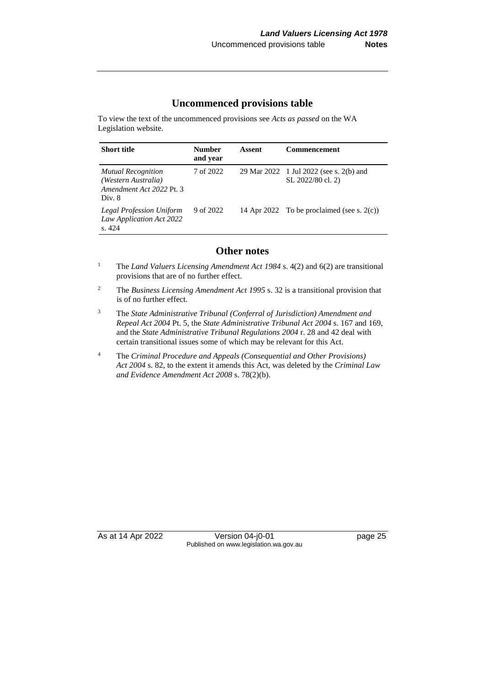#### **Uncommenced provisions table**

To view the text of the uncommenced provisions see *Acts as passed* on the WA Legislation website.

| <b>Short title</b>                                                                     | <b>Number</b><br>and year | Assent | <b>Commencement</b>                                          |
|----------------------------------------------------------------------------------------|---------------------------|--------|--------------------------------------------------------------|
| <b>Mutual Recognition</b><br>(Western Australia)<br>Amendment Act 2022 Pt. 3<br>Div. 8 | 7 of 2022                 |        | 29 Mar 2022 1 Jul 2022 (see s. 2(b) and<br>SL 2022/80 cl. 2) |
| <b>Legal Profession Uniform</b><br>Law Application Act 2022<br>s. 424                  | 9 of 2022                 |        | 14 Apr 2022 To be proclaimed (see s. $2(c)$ )                |

#### **Other notes**

- <sup>1</sup> The *Land Valuers Licensing Amendment Act 1984* s. 4(2) and 6(2) are transitional provisions that are of no further effect.
- <sup>2</sup> The *Business Licensing Amendment Act 1995* s. 32 is a transitional provision that is of no further effect.
- <sup>3</sup> The *State Administrative Tribunal (Conferral of Jurisdiction) Amendment and Repeal Act 2004* Pt. 5, the *State Administrative Tribunal Act 2004* s. 167 and 169, and the *State Administrative Tribunal Regulations 2004* r. 28 and 42 deal with certain transitional issues some of which may be relevant for this Act.
- <sup>4</sup> The *Criminal Procedure and Appeals (Consequential and Other Provisions) Act 2004* s. 82, to the extent it amends this Act, was deleted by the *Criminal Law and Evidence Amendment Act 2008* s. 78(2)(b).

As at 14 Apr 2022 Version 04-j0-01 page 25 Published on www.legislation.wa.gov.au